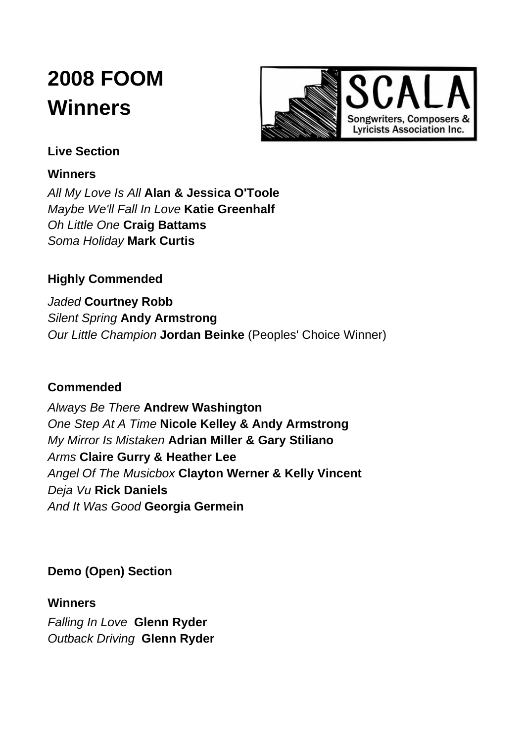# **2008 FOOM Winners**



# **Live Section**

## **Winners**

*All My Love Is All* **Alan & Jessica [O'Toole](http://web.archive.org/web/20130429200855/http://www.scala.org.au/mormeeto.htm#alot)** *Maybe We'll Fall In Love* **Katie [Greenhalf](http://web.archive.org/web/20130429200855/http://www.scala.org.au/mormeetg.htm#kagr)** *Oh Little One* **Craig [Battams](http://web.archive.org/web/20130429200855/http://www.scala.org.au/mormeetb.htm#crba)** *Soma Holiday* **Mark [Curtis](http://web.archive.org/web/20130429200855/http://www.myspace.com/markcurtistbr)**

# **Highly Commended**

*Jaded* **Courtney Robb** *Silent Spring* **Andy Armstrong** *Our Little Champion* **Jordan Beinke** (Peoples' Choice Winner)

# **Commended**

*Always Be There* **Andrew Washington** *One Step At A Time* **Nicole Kelley & Andy Armstrong** *My Mirror Is Mistaken* **Adrian Miller & Gary Stiliano** *Arms* **Claire Gurry & Heather Lee** *Angel Of The Musicbox* **Clayton Werner & Kelly Vincent** *Deja Vu* **Rick Daniels** *And It Was Good* **Georgia Germein**

**Demo (Open) Section**

## **Winners**

*Falling In Love* **Glenn [Ryder](http://web.archive.org/web/20130429200855/http://www.scala.org.au/mormeetr.htm#glry)** *Outback Driving* **[Glenn](http://web.archive.org/web/20130429200855/http://www.scala.org.au/mormeetr.htm#glry) Ryder**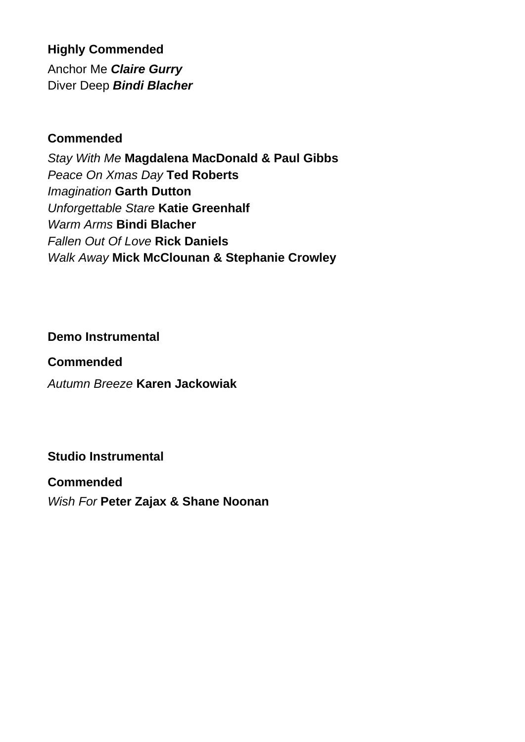# **Highly Commended**

Anchor Me *Claire Gurry* Diver Deep *Bindi Blacher*

## **Commended**

*Stay With Me* **Magdalena MacDonald & Paul Gibbs** *Peace On Xmas Day* **Ted Roberts** *Imagination* **Garth Dutton** *Unforgettable Stare* **Katie Greenhalf** *Warm Arms* **Bindi Blacher** *Fallen Out Of Love* **Rick Daniels** *Walk Away* **Mick McClounan & Stephanie Crowley**

## **Demo Instrumental**

## **Commended**

*Autumn Breeze* **Karen Jackowiak**

# **Studio Instrumental**

#### **Commended**

*Wish For* **Peter Zajax & Shane Noonan**